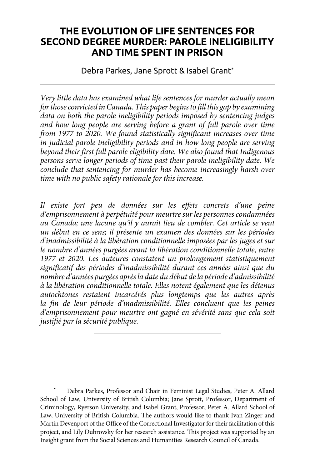# **THE EVOLUTION OF LIFE SENTENCES FOR SECOND DEGREE MURDER: PAROLE INELIGIBILITY AND TIME SPENT IN PRISON**

Debra Parkes, Jane Sprott & Isabel Grant\*

*Very little data has examined what life sentences for murder actually mean for those convicted in Canada. This paper begins to fill this gap by examining data on both the parole ineligibility periods imposed by sentencing judges and how long people are serving before a grant of full parole over time from 1977 to 2020. We found statistically significant increases over time in judicial parole ineligibility periods and in how long people are serving beyond their first full parole eligibility date. We also found that Indigenous persons serve longer periods of time past their parole ineligibility date. We conclude that sentencing for murder has become increasingly harsh over time with no public safety rationale for this increase.*

*Il existe fort peu de données sur les effets concrets d'une peine d'emprisonnement à perpétuité pour meurtre sur les personnes condamnées au Canada; une lacune qu'il y aurait lieu de combler. Cet article se veut un début en ce sens; il présente un examen des données sur les périodes d'inadmissibilité à la libération conditionnelle imposées par les juges et sur le nombre d'années purgées avant la libération conditionnelle totale, entre 1977 et 2020. Les auteures constatent un prolongement statistiquement significatif des périodes d'inadmissibilité durant ces années ainsi que du nombre d'années purgées après la date du début de la période d'admissibilité à la libération conditionnelle totale. Elles notent également que les détenus autochtones restaient incarcérés plus longtemps que les autres après la fin de leur période d'inadmissibilité. Elles concluent que les peines d'emprisonnement pour meurtre ont gagné en sévérité sans que cela soit justifié par la sécurité publique.*

Debra Parkes, Professor and Chair in Feminist Legal Studies, Peter A. Allard School of Law, University of British Columbia; Jane Sprott, Professor, Department of Criminology, Ryerson University; and Isabel Grant, Professor, Peter A. Allard School of Law, University of British Columbia. The authors would like to thank Ivan Zinger and Martin Devenport of the Office of the Correctional Investigator for their facilitation of this project, and Lily Dubrovsky for her research assistance. This project was supported by an Insight grant from the Social Sciences and Humanities Research Council of Canada.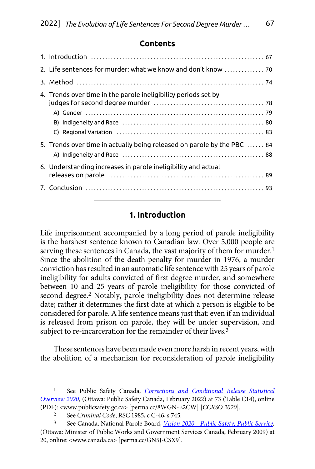#### **Contents**

| 2. Life sentences for murder: what we know and don't know  70           |  |
|-------------------------------------------------------------------------|--|
|                                                                         |  |
| 4. Trends over time in the parole ineligibility periods set by          |  |
| 5. Trends over time in actually being released on parole by the PBC  84 |  |
| 6. Understanding increases in parole ineligibility and actual           |  |
|                                                                         |  |

### **1. Introduction**

Life imprisonment accompanied by a long period of parole ineligibility is the harshest sentence known to Canadian law. Over 5,000 people are serving these sentences in Canada, the vast majority of them for murder.<sup>1</sup> Since the abolition of the death penalty for murder in 1976, a murder conviction has resulted in an automatic life sentence with 25 years of parole ineligibility for adults convicted of first degree murder, and somewhere between 10 and 25 years of parole ineligibility for those convicted of second degree.<sup>2</sup> Notably, parole ineligibility does not determine release date; rather it determines the first date at which a person is eligible to be considered for parole. A life sentence means just that: even if an individual is released from prison on parole, they will be under supervision, and subject to re-incarceration for the remainder of their lives.<sup>3</sup>

These sentences have been made even more harsh in recent years, with the abolition of a mechanism for reconsideration of parole ineligibility

<sup>1</sup> See Public Safety Canada, *[Corrections and Conditional Release Statistical](https://perma.cc/8WGN-E2CW) [Overview 2020,](https://perma.cc/8WGN-E2CW)* (Ottawa: Public Safety Canada, February 2022) at 73 (Table C14), online (PDF): <www.publicsafety.gc.ca> [perma.cc/8WGN-E2CW] [*CCRSO 2020*].

<sup>2</sup> See *Criminal Code*, RSC 1985, c C-46, s 745.

<sup>3</sup> See Canada, National Parole Board, *[Vision 2020—Public Safety, Public Service,](https://perma.cc/GN5J-CSX9)*  (Ottawa: Minister of Public Works and Government Services Canada, February 2009) at 20, online: <www.canada.ca> [perma.cc/GN5J-CSX9].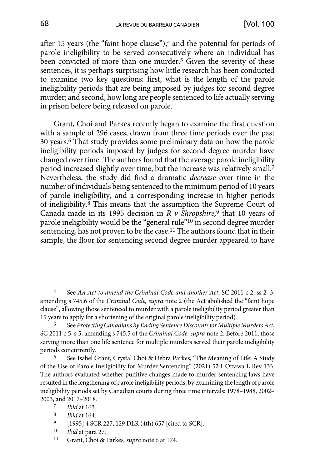after 15 years (the "faint hope clause"),<sup>4</sup> and the potential for periods of parole ineligibility to be served consecutively where an individual has been convicted of more than one murder.<sup>5</sup> Given the severity of these sentences, it is perhaps surprising how little research has been conducted to examine two key questions: first, what is the length of the parole ineligibility periods that are being imposed by judges for second degree murder; and second, how long are people sentenced to life actually serving in prison before being released on parole.

Grant, Choi and Parkes recently began to examine the first question with a sample of 296 cases, drawn from three time periods over the past 30 years.6 That study provides some preliminary data on how the parole ineligibility periods imposed by judges for second degree murder have changed over time. The authors found that the average parole ineligibility period increased slightly over time, but the increase was relatively small.<sup>7</sup> Nevertheless, the study did find a dramatic *decrease* over time in the number of individuals being sentenced to the minimum period of 10 years of parole ineligibility, and a corresponding increase in higher periods of ineligibility.8 This means that the assumption the Supreme Court of Canada made in its 1995 decision in *R v Shropshire,*9 that 10 years of parole ineligibility would be the "general rule"<sup>10</sup> in second degree murder sentencing, has not proven to be the case.<sup>11</sup> The authors found that in their sample, the floor for sentencing second degree murder appeared to have

- [1995] 4 SCR 227, 129 DLR (4th) 657 [cited to SCR].
- 10 *Ibid* at para 27.
- 11 Grant, Choi & Parkes*, supra* note 6 at 174.

<sup>4</sup> See *An Act to amend the Criminal Code and another Act*, SC 2011 c 2, ss 2–3, amending s 745.6 of the *Criminal Code, supra* note 2 (the Act abolished the "faint hope clause", allowing those sentenced to murder with a parole ineligibility period greater than 15 years to apply for a shortening of the original parole ineligibility period). 5 See *Protecting Canadians by Ending Sentence Discounts for Multiple Murders Act*,

SC 2011 c 5, s 5, amending s 745.5 of the *Criminal Code, supra* note 2. Before 2011, those serving more than one life sentence for multiple murders served their parole ineligibility periods concurrently.

<sup>6</sup> See Isabel Grant, Crystal Choi & Debra Parkes, "The Meaning of Life: A Study of the Use of Parole Ineligibility for Murder Sentencing" (2021) 52:1 Ottawa L Rev 133. The authors evaluated whether punitive changes made to murder sentencing laws have resulted in the lengthening of parole ineligibility periods, by examining the length of parole ineligibility periods set by Canadian courts during three time intervals: 1978–1988, 2002– 2003, and 2017–2018. 7 *Ibid* at 163.

<sup>8</sup> *Ibid* at 164.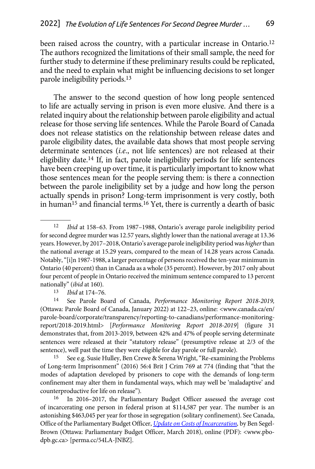been raised across the country, with a particular increase in Ontario.<sup>12</sup> The authors recognized the limitations of their small sample, the need for further study to determine if these preliminary results could be replicated, and the need to explain what might be influencing decisions to set longer parole ineligibility periods.13

The answer to the second question of how long people sentenced to life are actually serving in prison is even more elusive. And there is a related inquiry about the relationship between parole eligibility and actual release for those serving life sentences. While the Parole Board of Canada does not release statistics on the relationship between release dates and parole eligibility dates, the available data shows that most people serving determinate sentences (*i.e*., not life sentences) are not released at their eligibility date.14 If, in fact, parole ineligibility periods for life sentences have been creeping up over time, it is particularly important to know what those sentences mean for the people serving them: is there a connection between the parole ineligibility set by a judge and how long the person actually spends in prison? Long-term imprisonment is very costly, both in human15 and financial terms.16 Yet, there is currently a dearth of basic

<sup>13</sup> *Ibid* at 174–76.<br><sup>14</sup> See Parole Board of Canada, *Performance Monitoring Report 2018-2019*, (Ottawa: Parole Board of Canada, January 2022) at 122–23, online: <www.canada.ca/en/ parole-board/corporate/transparency/reporting-to-canadians/performance-monitoringreport/2018-2019.html> [*Performance Monitoring Report 2018-2019*] (figure 31 demonstrates that, from 2013-2019, between 42% and 47% of people serving determinate sentences were released at their "statutory release" (presumptive release at 2/3 of the sentence), well past the time they were eligible for day parole or full parole).

15 See e.g. Susie Hulley, Ben Crewe & Serena Wright, "Re-examining the Problems of Long-term Imprisonment" (2016) 56:4 Brit J Crim 769 at 774 (finding that "that the modes of adaptation developed by prisoners to cope with the demands of long-term confinement may alter them in fundamental ways, which may well be 'maladaptive' and counterproductive for life on release").

16 In 2016–2017, the Parliamentary Budget Officer assessed the average cost of incarcerating one person in federal prison at \$114,587 per year. The number is an astonishing \$463,045 per year for those in segregation (solitary confinement). See Canada, Office of the Parliamentary Budget Officer, *[Update on Costs of Incarceration](https://perma.cc/54LA-JNBZ),* by Ben Segel-Brown (Ottawa: Parliamentary Budget Officer, March 2018), online (PDF): <www.pbodpb.gc.ca> [perma.cc/54LA-JNBZ].

<sup>12</sup> *Ibid* at 158–63. From 1987–1988, Ontario's average parole ineligibility period for second degree murder was 12.57 years, slightly lower than the national average at 13.36 years. However, by 2017–2018, Ontario's average parole ineligibility period was *higher* than the national average at 15.29 years, compared to the mean of 14.28 years across Canada. Notably, "[i]n 1987-1988, a larger percentage of persons received the ten-year minimum in Ontario (40 percent) than in Canada as a whole (35 percent). However, by 2017 only about four percent of people in Ontario received the minimum sentence compared to 13 percent nationally" (*ibid* at 160).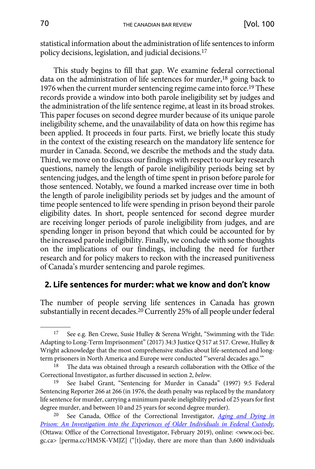<span id="page-4-0"></span>statistical information about the administration of life sentences to inform policy decisions, legislation, and judicial decisions.17

This study begins to fill that gap. We examine federal correctional data on the administration of life sentences for murder,<sup>18</sup> going back to 1976 when the current murder sentencing regime came into force.19 These records provide a window into both parole ineligibility set by judges and the administration of the life sentence regime, at least in its broad strokes. This paper focuses on second degree murder because of its unique parole ineligibility scheme, and the unavailability of data on how this regime has been applied. It proceeds in four parts. First, we briefly locate this study in the context of the existing research on the mandatory life sentence for murder in Canada. Second, we describe the methods and the study data. Third, we move on to discuss our findings with respect to our key research questions, namely the length of parole ineligibility periods being set by sentencing judges, and the length of time spent in prison before parole for those sentenced. Notably, we found a marked increase over time in both the length of parole ineligibility periods set by judges and the amount of time people sentenced to life were spending in prison beyond their parole eligibility dates. In short, people sentenced for second degree murder are receiving longer periods of parole ineligibility from judges, and are spending longer in prison beyond that which could be accounted for by the increased parole ineligibility. Finally, we conclude with some thoughts on the implications of our findings, including the need for further research and for policy makers to reckon with the increased punitiveness of Canada's murder sentencing and parole regimes.

### **2. Life sentences for murder: what we know and don't know**

The number of people serving life sentences in Canada has grown substantially in recent decades.20 Currently 25% of all people under federal

<sup>17</sup> See e.g. Ben Crewe, Susie Hulley & Serena Wright, "Swimming with the Tide: Adapting to Long-Term Imprisonment" (2017) 34:3 Justice Q 517 at 517. Crewe, Hulley & Wright acknowledge that the most comprehensive studies about life-sentenced and longterm prisoners in North America and Europe were conducted "'several decades ago.'"

<sup>&</sup>lt;sup>18</sup> The data was obtained through a research collaboration with the Office of the Correctional Investigator, as further discussed in section 2, *below*. 19 See Isabel Grant, "Sentencing for Murder in Canada" (1997) 9:5 Federal

Sentencing Reporter 266 at 266 (in 1976, the death penalty was replaced by the mandatory life sentence for murder, carrying a minimum parole ineligibility period of 25 years for first degree murder, and between 10 and 25 years for second degree murder).

<sup>20</sup> See Canada, Office of the Correctional Investigator, *[Aging and Dying in](https://perma.cc/HM5K-VMJZ) [Prison: An Investigation into the Experiences of Older Individuals in Federal Custody,](https://perma.cc/HM5K-VMJZ)*  (Ottawa: Office of the Correctional Investigator, February 2019), online: <www.oci-bec. gc.ca> [perma.cc/HM5K-VMJZ] ("[t]oday, there are more than than 3,600 individuals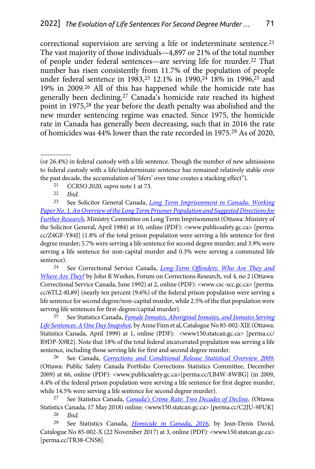correctional supervision are serving a life or indeterminate sentence.<sup>21</sup> The vast majority of those individuals—4,897 or 21% of the total number of people under federal sentences—are serving life for murder.22 That number has risen consistently from 11.7% of the population of people under federal sentence in 1983,<sup>23</sup> 12.1% in 1990,<sup>24</sup> 18% in 1996,<sup>25</sup> and 19% in 2009.26 All of this has happened while the homicide rate has generally been declining.27 Canada's homicide rate reached its highest point in 1975,28 the year before the death penalty was abolished and the new murder sentencing regime was enacted. Since 1975, the homicide rate in Canada has generally been decreasing, such that in 2016 the rate of homicides was 44% lower than the rate recorded in 1975.29 As of 2020,

- 21 *CCRSO 2020, supra* note 1 at 73.
- 22 *Ibid*.

23 See Solicitor General Canada, *[Long Term Imprisonment in Canada: Working](https://perma.cc/Z4GF-Y84J)  [Paper No. 1. An Overview of the Long Term Prisoner Population and Suggested Directions for](https://perma.cc/Z4GF-Y84J)  [Further Research,](https://perma.cc/Z4GF-Y84J)* Ministry Committee on Long Term Imprisonment (Ottawa: Ministry of the Solicitor General, April 1984) at 10, online (PDF): <www.publicsafety.gc.ca> [perma. cc/Z4GF-Y84J] (1.8% of the total prison population were serving a life sentence for first degree murder; 5.7% were serving a life sentence for second degree murder; and 3.9% were serving a life sentence for non-capital murder and 0.3% were serving a commuted life sentence).

24 See Correctional Service Canada, *[Long-Term Offenders: Who Are They and](https://perma.cc/6TL2-8L89) [Where Are They?](https://perma.cc/6TL2-8L89)* by John R Weekes, Forum on Corrections Research, vol 4, no 2 (Ottawa: Correctional Service Canada, June 1992) at 2, online (PDF): <www.csc-scc.gc.ca> [perma. cc/6TL2-8L89] (nearly ten percent (9.6%) of the federal prison population were serving a life sentence for second degree/non-capital murder, while 2.5% of the that population were serving life sentences for first-degree/capital murder).

25 See Statistics Canada, *[Female Inmates, Aboriginal Inmates, and Inmates Serving](https://perma.cc/R9DP-X9R2)  [Life Sentences: A One Day Snapshot,](https://perma.cc/R9DP-X9R2)* by Anne Finn et al, Catalogue No 85-002-XIE (Ottawa: Statistics Canada, April 1999) at 1, online (PDF): <www150.statcan.gc.ca> [perma.cc/ R9DP-X9R2]. Note that 18% of the total federal incarcerated population was serving a life sentence, including those serving life for first and second degree murder.

26 See Canada, *[Corrections and Conditional Release Statistical Overview 2009](https://perma.cc/LB4W-8WBG)*, (Ottawa: Public Safety Canada Portfolio Corrections Statistics Committee, December 2009) at 66, online (PDF): <www.publicsafety.gc.ca>[perma.cc/LB4W-8WBG] (in 2009, 4.4% of the federal prison population were serving a life sentence for first degree murder, while 14.5% were serving a life sentence for second degree murder).

27 See Statistics Canada, *[Canada's Crime Rate: Two Decades of Decline](https://perma.cc/C2JU-9FUK),* (Ottawa: Statistics Canada, 17 May 2018) online: <www150.statcan.gc.ca> [perma.cc/C2JU-9FUK]<br>
<sup>28</sup> Ibid

*Ibid.* 

29 See Statistics Canada, *[Homicide in Canada, 2016](https://perma.cc/TR38-CNS8),* by Jean-Denis David, Catalogue No 85-002-X (22 November 2017) at 3, online (PDF): <www150.statcan.gc.ca> [perma.cc/TR38-CNS8].

<sup>(</sup>or 26.4%) in federal custody with a life sentence. Though the number of new admissions to federal custody with a life/indeterminate sentence has remained relatively stable over the past decade, the accumulation of 'lifers' over time creates a stacking effect").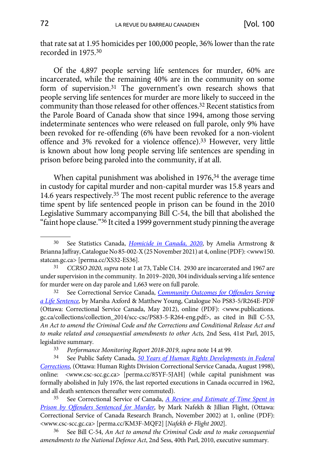that rate sat at 1.95 homicides per 100,000 people, 36% lower than the rate recorded in 1975.30

Of the 4,897 people serving life sentences for murder, 60% are incarcerated, while the remaining 40% are in the community on some form of supervision.31 The government's own research shows that people serving life sentences for murder are more likely to succeed in the community than those released for other offences.32 Recent statistics from the Parole Board of Canada show that since 1994, among those serving indeterminate sentences who were released on full parole, only 9% have been revoked for re-offending (6% have been revoked for a non-violent offence and 3% revoked for a violence offence). 33 However, very little is known about how long people serving life sentences are spending in prison before being paroled into the community, if at all.

When capital punishment was abolished in 1976,<sup>34</sup> the average time in custody for capital murder and non-capital murder was 15.8 years and 14.6 years respectively.<sup>35</sup> The most recent public reference to the average time spent by life sentenced people in prison can be found in the 2010 Legislative Summary accompanying Bill C-54, the bill that abolished the "faint hope clause."<sup>36</sup> It cited a 1999 government study pinning the average

32 See Correctional Service Canada, *[Community Outcomes for Offenders Serving](https://www.publications.gc.ca/collections/collection_2014/scc-csc/PS83-5-R264-eng.pdf)  [a Life Sentence,](https://www.publications.gc.ca/collections/collection_2014/scc-csc/PS83-5-R264-eng.pdf)* by Marsha Axford & Matthew Young, Catalogue No PS83-5/R264E-PDF (Ottawa: Correctional Service Canada, May 2012), online (PDF): <www.publications. gc.ca/collections/collection\_2014/scc-csc/PS83-5-R264-eng.pdf>, as cited in Bill C-53, *An Act to amend the Criminal Code and the Corrections and Conditional Release Act and to make related and consequential amendments to other Acts,* 2nd Sess, 41st Parl, 2015, legislative summary.<br>  $\frac{33}{3}$  Performan

<sup>33</sup> *Performance Monitoring Report 2018-2019, supra* note 14 at 99.<br><sup>34</sup> See Public Safety Canada, 50 *Years of Human Rights Developy* 

34 See Public Safety Canada, *[50 Years of Human Rights Developments in Federal](https://perma.cc/85YF-5JAH)  [Corrections,](https://perma.cc/85YF-5JAH)* (Ottawa: Human Rights Division Correctional Service Canada, August 1998), online: <www.csc-scc.gc.ca> [\[perma.cc/85YF-5JAH\]](https://www.csc-scc.gc.ca/text/pblct/rht-drt/index-eng.shtml) (while capital punishment was formally abolished in July 1976, the last reported executions in Canada occurred in 1962, and all death sentences thereafter were commuted).

35 See Correctional Service of Canada, *[A Review and Estimate of Time Spent in](https://perma.cc/KM3F-MQF2) [Prison by Offenders Sentenced for Murder](https://perma.cc/KM3F-MQF2),* by Mark Nafekh & Jillian Flight, (Ottawa: Correctional Service of Canada Research Branch, November 2002) at 1, online (PDF): <www.csc-scc.gc.ca> [perma.cc/KM3F-MQF2] [*Nafekh & Flight 2002*].

36 See Bill C-54, *An Act to amend the Criminal Code and to make consequential amendments to the National Defence Act*, 2nd Sess, 40th Parl, 2010, executive summary.

<sup>30</sup> See Statistics Canada, *[Homicide in Canada, 2020](https://perma.cc/XS32-ES36)*, by Amelia Armstrong & Brianna Jaffray, Catalogue No 85-002-X (25 November 2021) at 4, online (PDF): <www150. statcan.gc.ca> [perma.cc/XS32-ES36].

<sup>31</sup> *CCRSO 2020, supra* note 1 at 73, Table C14. 2930 are incarcerated and 1967 are under supervision in the community. In 2019–2020, 304 individuals serving a life sentence for murder were on day parole and 1,663 were on full parole.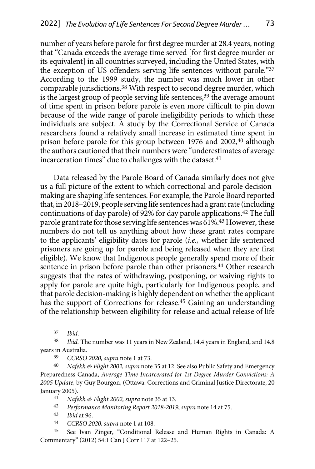number of years before parole for first degree murder at 28.4 years, noting that "Canada exceeds the average time served [for first degree murder or its equivalent] in all countries surveyed, including the United States, with the exception of US offenders serving life sentences without parole."37 According to the 1999 study, the number was much lower in other comparable jurisdictions.<sup>38</sup> With respect to second degree murder, which is the largest group of people serving life sentences,<sup>39</sup> the average amount of time spent in prison before parole is even more difficult to pin down because of the wide range of parole ineligibility periods to which these individuals are subject. A study by the Correctional Service of Canada researchers found a relatively small increase in estimated time spent in prison before parole for this group between 1976 and 2002,<sup>40</sup> although the authors cautioned that their numbers were "underestimates of average incarceration times" due to challenges with the dataset.<sup>41</sup>

Data released by the Parole Board of Canada similarly does not give us a full picture of the extent to which correctional and parole decisionmaking are shaping life sentences. For example, the Parole Board reported that, in 2018–2019, people serving life sentences had a grant rate (including continuations of day parole) of 92% for day parole applications.42 The full parole grant rate for those serving life sentences was 61%.43 However, these numbers do not tell us anything about how these grant rates compare to the applicants' eligibility dates for parole (*i.e.,* whether life sentenced prisoners are going up for parole and being released when they are first eligible). We know that Indigenous people generally spend more of their sentence in prison before parole than other prisoners.<sup>44</sup> Other research suggests that the rates of withdrawing, postponing, or waiving rights to apply for parole are quite high, particularly for Indigenous people, and that parole decision-making is highly dependent on whether the applicant has the support of Corrections for release.45 Gaining an understanding of the relationship between eligibility for release and actual release of life

42 *Performance Monitoring Report 2018-2019*, *supra* note 14 at 75.

<sup>37</sup> *Ibid*.

<sup>38</sup> *Ibid.* The number was 11 years in New Zealand, 14.4 years in England, and 14.8 years in Australia.

<sup>39</sup> *CCRSO 2020, supra* note 1 at 73.

<sup>40</sup> *Nafekh & Flight 2002, supra* note 35 at 12. See also Public Safety and Emergency Preparedness Canada, *Average Time Incarcerated for 1st Degree Murder Convictions: A 2005 Update,* by Guy Bourgon, (Ottawa: Corrections and Criminal Justice Directorate, 20 January 2005). 41 *Nafekh & Flight 2002, supra* note 35 at 13.

<sup>43</sup> *Ibid* at 96.

<sup>44</sup> *CCRSO 2020, supra* note 1 at 108.

<sup>45</sup> See Ivan Zinger, "Conditional Release and Human Rights in Canada: A Commentary" (2012) 54:1 Can J Corr 117 at 122–25.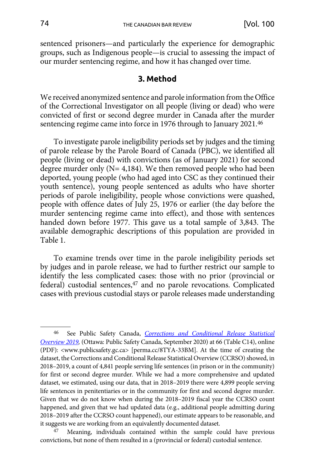<span id="page-8-0"></span>sentenced prisoners—and particularly the experience for demographic groups, such as Indigenous people—is crucial to assessing the impact of our murder sentencing regime, and how it has changed over time.

#### **3. Method**

We received anonymized sentence and parole information from the Office of the Correctional Investigator on all people (living or dead) who were convicted of first or second degree murder in Canada after the murder sentencing regime came into force in 1976 through to January 2021.46

To investigate parole ineligibility periods set by judges and the timing of parole release by the Parole Board of Canada (PBC), we identified all people (living or dead) with convictions (as of January 2021) for second degree murder only (N= 4,184). We then removed people who had been deported, young people (who had aged into CSC as they continued their youth sentence), young people sentenced as adults who have shorter periods of parole ineligibility, people whose convictions were quashed, people with offence dates of July 25, 1976 or earlier (the day before the murder sentencing regime came into effect), and those with sentences handed down before 1977. This gave us a total sample of 3,843. The available demographic descriptions of this population are provided in Table 1.

To examine trends over time in the parole ineligibility periods set by judges and in parole release, we had to further restrict our sample to identify the less complicated cases: those with no prior (provincial or federal) custodial sentences,<sup>47</sup> and no parole revocations. Complicated cases with previous custodial stays or parole releases made understanding

<sup>46</sup> See Public Safety Canada, *[Corrections and Conditional Release Statistical](https://perma.cc/8TYA-33BM) [Overview 2019](https://perma.cc/8TYA-33BM),* (Ottawa: Public Safety Canada, September 2020) at 66 (Table C14), online (PDF): <www.publicsafety.gc.ca> [perma.cc/8TYA-33BM]. At the time of creating the dataset, the Corrections and Conditional Release Statistical Overview (CCRSO) showed, in 2018–2019, a count of 4,841 people serving life sentences (in prison or in the community) for first or second degree murder*.* While we had a more comprehensive and updated dataset, we estimated, using our data, that in 2018–2019 there were 4,899 people serving life sentences in penitentiaries or in the community for first and second degree murder. Given that we do not know when during the 2018–2019 fiscal year the CCRSO count happened, and given that we had updated data (e.g., additional people admitting during 2018–2019 after the CCRSO count happened), our estimate appears to be reasonable, and it suggests we are working from an equivalently documented dataset.

Meaning, individuals contained within the sample could have previous convictions, but none of them resulted in a (provincial or federal) custodial sentence.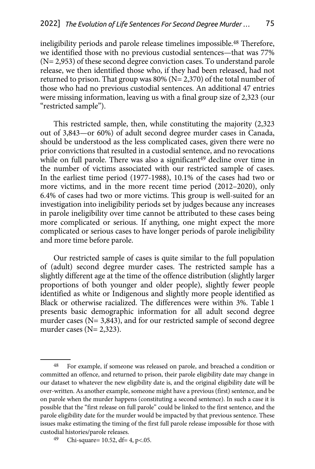ineligibility periods and parole release timelines impossible.48 Therefore, we identified those with no previous custodial sentences—that was 77% (N= 2,953) of these second degree conviction cases. To understand parole release, we then identified those who, if they had been released, had not returned to prison. That group was 80% (N= 2,370) of the total number of those who had no previous custodial sentences. An additional 47 entries were missing information, leaving us with a final group size of 2,323 (our "restricted sample").

This restricted sample, then, while constituting the majority (2,323 out of 3,843—or 60%) of adult second degree murder cases in Canada, should be understood as the less complicated cases, given there were no prior convictions that resulted in a custodial sentence, and no revocations while on full parole. There was also a significant<sup>49</sup> decline over time in the number of victims associated with our restricted sample of cases. In the earliest time period (1977-1988), 10.1% of the cases had two or more victims, and in the more recent time period (2012–2020), only 6.4% of cases had two or more victims. This group is well-suited for an investigation into ineligibility periods set by judges because any increases in parole ineligibility over time cannot be attributed to these cases being more complicated or serious. If anything, one might expect the more complicated or serious cases to have longer periods of parole ineligibility and more time before parole.

Our restricted sample of cases is quite similar to the full population of (adult) second degree murder cases. The restricted sample has a slightly different age at the time of the offence distribution (slightly larger proportions of both younger and older people), slightly fewer people identified as white or Indigenous and slightly more people identified as Black or otherwise racialized. The differences were within 3%. Table 1 presents basic demographic information for all adult second degree murder cases (N= 3,843), and for our restricted sample of second degree murder cases  $(N= 2,323)$ .

<sup>48</sup> For example, if someone was released on parole, and breached a condition or committed an offence, and returned to prison, their parole eligibility date may change in our dataset to whatever the new eligibility date is, and the original eligibility date will be over-written. As another example, someone might have a previous (first) sentence, and be on parole when the murder happens (constituting a second sentence). In such a case it is possible that the "first release on full parole" could be linked to the first sentence, and the parole eligibility date for the murder would be impacted by that previous sentence. These issues make estimating the timing of the first full parole release impossible for those with custodial histories/parole releases.

<sup>49</sup> Chi-square= 10.52, df= 4, p<.05.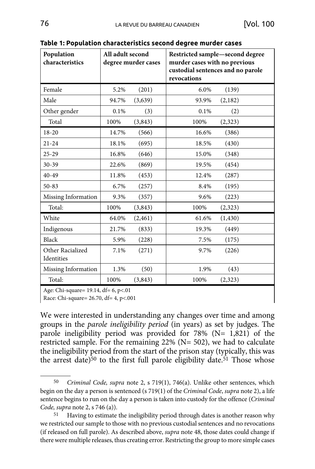| Population<br>characteristics  | All adult second<br>degree murder cases |          | Restricted sample-second degree<br>murder cases with no previous<br>custodial sentences and no parole<br>revocations |          |  |
|--------------------------------|-----------------------------------------|----------|----------------------------------------------------------------------------------------------------------------------|----------|--|
| Female                         | 5.2%                                    | (201)    | 6.0%                                                                                                                 | (139)    |  |
| Male                           | 94.7%                                   | (3,639)  | 93.9%                                                                                                                | (2,182)  |  |
| Other gender                   | 0.1%                                    | (3)      | 0.1%                                                                                                                 | (2)      |  |
| Total                          | 100%                                    | (3,843)  | 100%                                                                                                                 | (2,323)  |  |
| $18 - 20$                      | 14.7%                                   | (566)    | 16.6%                                                                                                                | (386)    |  |
| $21 - 24$                      | 18.1%                                   | (695)    | 18.5%                                                                                                                | (430)    |  |
| $25 - 29$                      | 16.8%                                   | (646)    | 15.0%                                                                                                                | (348)    |  |
| $30 - 39$                      | 22.6%                                   | (869)    | 19.5%                                                                                                                | (454)    |  |
| $40 - 49$                      | 11.8%                                   | (453)    | 12.4%                                                                                                                | (287)    |  |
| $50 - 83$                      | 6.7%                                    | (257)    | 8.4%                                                                                                                 | (195)    |  |
| Missing Information            | 9.3%                                    | (357)    | 9.6%                                                                                                                 | (223)    |  |
| Total:                         | 100%                                    | (3,843)  | 100%                                                                                                                 | (2,323)  |  |
| White                          | 64.0%                                   | (2, 461) | 61.6%                                                                                                                | (1, 430) |  |
| Indigenous                     | 21.7%                                   | (833)    | 19.3%                                                                                                                | (449)    |  |
| Black                          | 5.9%                                    | (228)    | 7.5%                                                                                                                 | (175)    |  |
| Other Racialized<br>Identities | 7.1%                                    | (271)    | 9.7%                                                                                                                 | (226)    |  |
| Missing Information            | 1.3%                                    | (50)     | 1.9%                                                                                                                 | (43)     |  |
| Total:                         | 100%                                    | (3, 843) | 100%                                                                                                                 | (2,323)  |  |

**Table 1: Population characteristics second degree murder cases**

Age: Chi-square= 19.14, df= 6, p<.01

Race: Chi-square= 26.70, df= 4, p<.001

We were interested in understanding any changes over time and among groups in the *parole ineligibility period* (in years) as set by judges. The parole ineligibility period was provided for 78% (N= 1,821) of the restricted sample. For the remaining 22% (N= 502), we had to calculate the ineligibility period from the start of the prison stay (typically, this was the arrest date) $50$  to the first full parole eligibility date.  $51$  Those whose

<sup>50</sup> *Criminal Code, supra* note 2, s 719(1), 746(a). Unlike other sentences, which begin on the day a person is sentenced (s 719(1) of the *Criminal Code*, *supra* note 2), a life sentence begins to run on the day a person is taken into custody for the offence (*Criminal Code, supra* note 2, s 746 (a)).

<sup>51</sup> Having to estimate the ineligibility period through dates is another reason why we restricted our sample to those with no previous custodial sentences and no revocations (if released on full parole). As described above, *supra* note 48, those dates could change if there were multiple releases, thus creating error. Restricting the group to more simple cases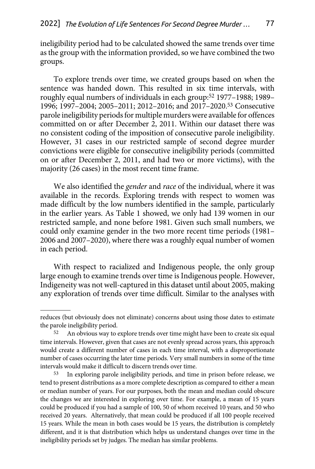ineligibility period had to be calculated showed the same trends over time as the group with the information provided, so we have combined the two groups.

To explore trends over time, we created groups based on when the sentence was handed down. This resulted in six time intervals, with roughly equal numbers of individuals in each group:52 1977–1988; 1989– 1996; 1997–2004; 2005–2011; 2012–2016; and 2017–2020.53 Consecutive parole ineligibility periods for multiple murders were available for offences committed on or after December 2, 2011. Within our dataset there was no consistent coding of the imposition of consecutive parole ineligibility. However, 31 cases in our restricted sample of second degree murder convictions were eligible for consecutive ineligibility periods (committed on or after December 2, 2011, and had two or more victims), with the majority (26 cases) in the most recent time frame.

We also identified the *gender* and *race* of the individual, where it was available in the records. Exploring trends with respect to women was made difficult by the low numbers identified in the sample, particularly in the earlier years. As Table 1 showed, we only had 139 women in our restricted sample, and none before 1981. Given such small numbers, we could only examine gender in the two more recent time periods (1981– 2006 and 2007–2020), where there was a roughly equal number of women in each period.

With respect to racialized and Indigenous people, the only group large enough to examine trends over time is Indigenous people. However, Indigeneity was not well-captured in this dataset until about 2005, making any exploration of trends over time difficult. Similar to the analyses with

reduces (but obviously does not eliminate) concerns about using those dates to estimate the parole ineligibility period.

<sup>&</sup>lt;sup>52</sup> An obvious way to explore trends over time might have been to create six equal time intervals. However, given that cases are not evenly spread across years, this approach would create a different number of cases in each time interval, with a disproportionate number of cases occurring the later time periods. Very small numbers in some of the time intervals would make it difficult to discern trends over time.

<sup>53</sup> In exploring parole ineligibility periods, and time in prison before release, we tend to present distributions as a more complete description as compared to either a mean or median number of years. For our purposes, both the mean and median could obscure the changes we are interested in exploring over time. For example, a mean of 15 years could be produced if you had a sample of 100, 50 of whom received 10 years, and 50 who received 20 years. Alternatively, that mean could be produced if all 100 people received 15 years. While the mean in both cases would be 15 years, the distribution is completely different, and it is that distribution which helps us understand changes over time in the ineligibility periods set by judges. The median has similar problems.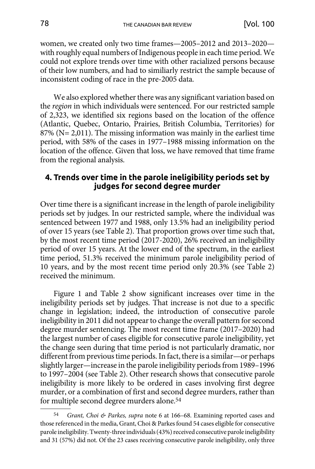<span id="page-12-0"></span>women, we created only two time frames—2005–2012 and 2013–2020 with roughly equal numbers of Indigenous people in each time period. We could not explore trends over time with other racialized persons because of their low numbers, and had to similiarly restrict the sample because of inconsistent coding of race in the pre-2005 data.

We also explored whether there was any significant variation based on the *region* in which individuals were sentenced. For our restricted sample of 2,323, we identified six regions based on the location of the offence (Atlantic, Quebec, Ontario, Prairies, British Columbia, Territories) for 87% (N= 2,011). The missing information was mainly in the earliest time period, with 58% of the cases in 1977–1988 missing information on the location of the offence. Given that loss, we have removed that time frame from the regional analysis.

### **4. Trends over time in the parole ineligibility periods set by judges for second degree murder**

Over time there is a significant increase in the length of parole ineligibility periods set by judges. In our restricted sample, where the individual was sentenced between 1977 and 1988, only 13.5% had an ineligibility period of over 15 years (see Table 2). That proportion grows over time such that, by the most recent time period (2017-2020), 26% received an ineligibility period of over 15 years. At the lower end of the spectrum, in the earliest time period, 51.3% received the minimum parole ineligibility period of 10 years, and by the most recent time period only 20.3% (see Table 2) received the minimum.

Figure 1 and Table 2 show significant increases over time in the ineligibility periods set by judges. That increase is not due to a specific change in legislation; indeed, the introduction of consecutive parole ineligibility in 2011 did not appear to change the overall pattern for second degree murder sentencing. The most recent time frame (2017–2020) had the largest number of cases eligible for consecutive parole ineligibility, yet the change seen during that time period is not particularly dramatic, nor different from previous time periods. In fact, there is a similar—or perhaps slightly larger—increase in the parole ineligibility periods from 1989–1996 to 1997–2004 (see Table 2). Other research shows that consecutive parole ineligibility is more likely to be ordered in cases involving first degree murder, or a combination of first and second degree murders, rather than for multiple second degree murders alone.54

<sup>54</sup> *Grant, Choi & Parkes, supra* note 6 at 166–68. Examining reported cases and those referenced in the media, Grant, Choi & Parkes found 54 cases eligible for consecutive parole ineligibility. Twenty-three individuals (43%) received consecutive parole ineligibility and 31 (57%) did not. Of the 23 cases receiving consecutive parole ineligibility, only three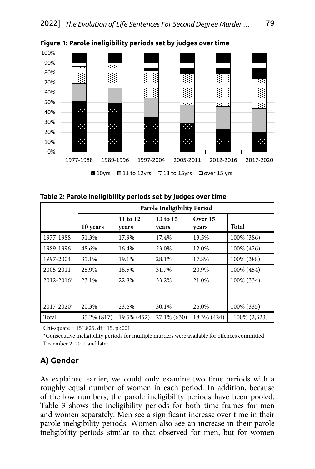

<span id="page-13-0"></span>Figure 1: Parole ineligibility periods set by judges over time

| Table 2: Parole ineligibility periods set by judges over time |  |
|---------------------------------------------------------------|--|
|---------------------------------------------------------------|--|

|                | <b>Parole Ineligibility Period</b> |                   |                   |                  |              |  |
|----------------|------------------------------------|-------------------|-------------------|------------------|--------------|--|
|                | 10 years                           | 11 to 12<br>years | 13 to 15<br>years | Over 15<br>years | <b>Total</b> |  |
| 1977-1988      | 51.3%                              | 17.9%             | 17.4%             | 13.5%            | 100% (386)   |  |
| 1989-1996      | 48.6%                              | 16.4%             | 23.0%             | 12.0%            | 100% (426)   |  |
| 1997-2004      | 35.1%                              | 19.1%             | 28.1%             | 17.8%            | 100% (388)   |  |
| 2005-2011      | 28.9%                              | 18.5%             | 31.7%             | 20.9%            | 100% (454)   |  |
| $2012 - 2016*$ | 23.1%                              | 22.8%             | 33.2%             | 21.0%            | 100% (334)   |  |
| $2017 - 2020*$ | 20.3%                              | 23.6%             | 30.1%             | 26.0%            | 100% (335)   |  |
| Total          | 35.2% (817)                        | 19.5% (452)       | 27.1% (630)       | 18.3% (424)      | 100% (2,323) |  |

Chi-square =  $151.825$ , df=  $15$ ,  $p<001$ 

\*Consecutive ineligibility periods for multiple murders were available for offences committed December 2, 2011 and later.

## **A) Gender**

As explained earlier, we could only examine two time periods with a roughly equal number of women in each period. In addition, because of the low numbers, the parole ineligibility periods have been pooled. Table 3 shows the ineligibility periods for both time frames for men and women separately. Men see a significant increase over time in their parole ineligibility periods. Women also see an increase in their parole ineligibility periods similar to that observed for men, but for women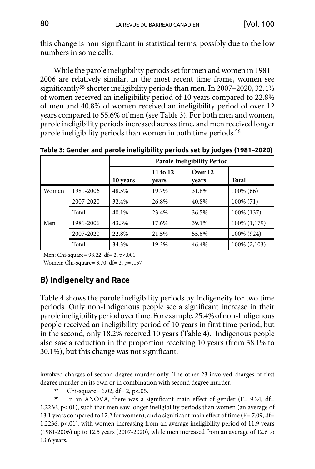<span id="page-14-0"></span>this change is non-significant in statistical terms, possibly due to the low numbers in some cells.

While the parole ineligibility periods set for men and women in 1981– 2006 are relatively similar, in the most recent time frame, women see significantly55 shorter ineligibility periods than men. In 2007–2020, 32.4% of women received an ineligibility period of 10 years compared to 22.8% of men and 40.8% of women received an ineligibility period of over 12 years compared to 55.6% of men (see Table 3). For both men and women, parole ineligibility periods increased across time, and men received longer parole ineligibility periods than women in both time periods.<sup>56</sup>

**Table 3: Gender and parole ineligibility periods set by judges (1981–2020)**

|       |           |          |                   | <b>Parole Ineligibility Period</b> |                 |
|-------|-----------|----------|-------------------|------------------------------------|-----------------|
|       |           | 10 years | 11 to 12<br>vears | Over 12<br>vears                   | Total           |
| Women | 1981-2006 | 48.5%    | 19.7%             | 31.8%                              | 100% (66)       |
|       | 2007-2020 | 32.4%    | 26.8%             | 40.8%                              | 100% (71)       |
|       | Total     | 40.1%    | 23.4%             | 36.5%                              | 100% (137)      |
| Men   | 1981-2006 | 43.3%    | 17.6%             | 39.1%                              | 100% (1,179)    |
|       | 2007-2020 | 22.8%    | 21.5%             | 55.6%                              | 100% (924)      |
|       | Total     | 34.3%    | 19.3%             | 46.4%                              | $100\% (2,103)$ |

Men: Chi-square= 98.22, df= 2, p<.001 Women: Chi-square= 3.70, df= 2, p= .157

## **B) Indigeneity and Race**

Table 4 shows the parole ineligibility periods by Indigeneity for two time periods. Only non-Indigenous people see a significant increase in their parole ineligibility period over time. For example, 25.4% of non-Indigenous people received an ineligibility period of 10 years in first time period, but in the second, only 18.2% received 10 years (Table 4). Indigenous people also saw a reduction in the proportion receiving 10 years (from 38.1% to 30.1%), but this change was not significant.

involved charges of second degree murder only. The other 23 involved charges of first degree murder on its own or in combination with second degree murder.

<sup>55</sup> Chi-square= 6.02, df= 2, p<.05.

<sup>56</sup> In an ANOVA, there was a significant main effect of gender (F= 9.24, df= 1,2236, p<.01), such that men saw longer ineligibility periods than women (an average of 13.1 years compared to 12.2 for women); and a significant main effect of time (F= 7.09, df= 1,2236, p<.01), with women increasing from an average ineligibility period of 11.9 years (1981-2006) up to 12.5 years (2007-2020), while men increased from an average of 12.6 to 13.6 years.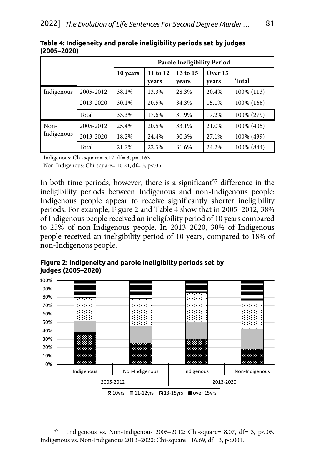|            |           |          |                   | <b>Parole Ineligibility Period</b> |                    |              |
|------------|-----------|----------|-------------------|------------------------------------|--------------------|--------------|
|            |           | 10 years | 11 to 12<br>vears | 13 to 15<br>years                  | Over $15$<br>years | <b>Total</b> |
| Indigenous | 2005-2012 | 38.1%    | 13.3%             | 28.3%                              | 20.4%              | 100% (113)   |
|            | 2013-2020 | 30.1%    | 20.5%             | 34.3%                              | 15.1%              | 100% (166)   |
|            | Total     | 33.3%    | 17.6%             | 31.9%                              | 17.2%              | 100% (279)   |
| Non-       | 2005-2012 | 25.4%    | 20.5%             | 33.1%                              | 21.0%              | 100% (405)   |
| Indigenous | 2013-2020 | 18.2%    | 24.4%             | 30.3%                              | 27.1%              | 100% (439)   |
|            | Total     | 21.7%    | 22.5%             | 31.6%                              | 24.2%              | 100% (844)   |

**Table 4: Indigeneity and parole ineligibility periods set by judges (2005–2020)**

Indigenous: Chi-square= 5.12, df= 3, p= .163

Non-Indigenous: Chi-square= 10.24, df= 3, p<.05

In both time periods, however, there is a significant  $57$  difference in the ineligibility periods between Indigenous and non-Indigenous people: Indigenous people appear to receive significantly shorter ineligibility periods. For example, Figure 2 and Table 4 show that in 2005–2012, 38% of Indigenous people received an ineligibility period of 10 years compared to 25% of non-Indigenous people. In 2013–2020, 30% of Indigenous people received an ineligibility period of 10 years, compared to 18% of non-Indigenous people.

Figure 2: Indigeneity and parole ineligibilty periods set by **judges (2005–2020)**



<sup>57</sup> Indigenous vs. Non-Indigenous 2005–2012: Chi-square= 8.07, df= 3, p<.05. Indigenous vs. Non-Indigenous 2013–2020: Chi-square= 16.69, df= 3, p<.001.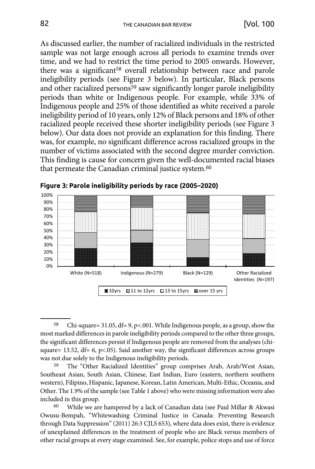As discussed earlier, the number of racialized individuals in the restricted sample was not large enough across all periods to examine trends over time, and we had to restrict the time period to 2005 onwards. However, there was a significant<sup>58</sup> overall relationship between race and parole ineligibility periods (see Figure 3 below). In particular, Black persons and other racialized persons<sup>59</sup> saw significantly longer parole ineligibility periods than white or Indigenous people. For example, while 33% of Indigenous people and 25% of those identified as white received a parole ineligibility period of 10 years, only 12% of Black persons and 18% of other racialized people received these shorter ineligibility periods (see Figure 3 below). Our data does not provide an explanation for this finding. There was, for example, no significant difference across racialized groups in the number of victims associated with the second degree murder conviction. This finding is cause for concern given the well-documented racial biases that permeate the Canadian criminal justice system.60



Figure 3: Parole ineligibility periods by race (2005–2020)

<sup>58</sup> Chi-square= 31.05, df= 9, p<.001. While Indigenous people, as a group, show the most marked differences in parole ineligibility periods compared to the other three groups, the significant differences persist if Indigenous people are removed from the analyses (chisquare= 13.52,  $df = 6$ , p<.05). Said another way, the significant differences across groups was not due solely to the Indigenous ineligibility periods.

<sup>59</sup> The "Other Racialized Identities" group comprises Arab, Arab/West Asian, Southeast Asian, South Asian, Chinese, East Indian, Euro (eastern, northern southern western), Filipino, Hispanic, Japanese, Korean, Latin American, Multi-Ethic, Oceania, and Other. The 1.9% of the sample (see Table 1 above) who were missing information were also included in this group.

While we are hampered by a lack of Canadian data (see Paul Millar & Akwasi Owusu-Bempah, "Whitewashing Criminal Justice in Canada: Preventing Research through Data Suppression" (2011) 26:3 CJLS 653), where data does exist, there is evidence of unexplained differences in the treatment of people who are Black versus members of other racial groups at every stage examined. See, for example, police stops and use of force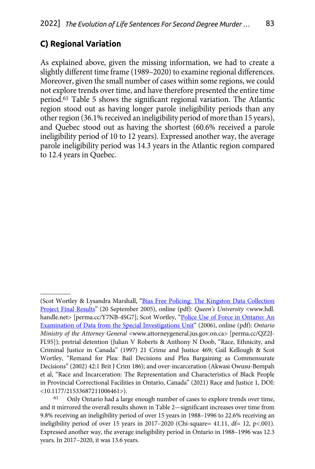## <span id="page-17-0"></span>**C) Regional Variation**

As explained above, given the missing information, we had to create a slightly different time frame (1989–2020) to examine regional differences. Moreover, given the small number of cases within some regions, we could not explore trends over time, and have therefore presented the entire time period.61 Table 5 shows the significant regional variation. The Atlantic region stood out as having longer parole ineligibility periods than any other region (36.1% received an ineligibility period of more than 15 years), and Quebec stood out as having the shortest (60.6% received a parole ineligibility period of 10 to 12 years). Expressed another way, the average parole ineligibility period was 14.3 years in the Atlantic region compared to 12.4 years in Quebec.

<sup>(</sup>Scot Wortley & Lysandra Marshall, ["Bias Free Policing: The Kingston Data Collection](https://perma.cc/Y7NB-4SG7) [Project Final Results"](https://perma.cc/Y7NB-4SG7) (20 September 2005), online (pdf): *Queen's University* <www.hdl. handle.net> [[perma.cc/Y7NB-4SG7\]](Bias%20Free%20Policing:%20The%20Kingston%20Data%20Collection%20Project%20Final%20Results); Scot Wortley, "Police Use of Force in Ontario: An [Examination of Data from the Special Investigations Unit](https://perma.cc/QZ2J-FL95)" (2006), online (pdf): *Ontario Ministry of the Attorney General* <www.attorneygeneral.jus.gov.on.ca> [perma.cc/QZ2]-FL95]); pretrial detention (Julian V Roberts & Anthony N Doob, "Race, Ethnicity, and Criminal Justice in Canada" (1997) 21 Crime and Justice 469; Gail Kellough & Scot Wortley, "Remand for Plea: Bail Decisions and Plea Bargaining as Commensurate Decisions" (2002) 42:1 Brit J Crim 186); and over-incarceration (Akwasi Owusu-Bempah et al, "Race and Incarceration: The Representation and Characteristics of Black People in Provincial Correctional Facilities in Ontario, Canada" (2021) Race and Justice 1, DOI: <10.1177/21533687211006461>).

Only Ontario had a large enough number of cases to explore trends over time, and it mirrored the overall results shown in Table 2—significant increases over time from 9.8% receiving an ineligibility period of over 15 years in 1988–1996 to 22.6% receiving an ineligibility period of over 15 years in 2017–2020 (Chi-square= 41.11, df= 12, p<.001). Expressed another way, the average ineligibility period in Ontario in 1988–1996 was 12.3 years. In 2017–2020, it was 13.6 years.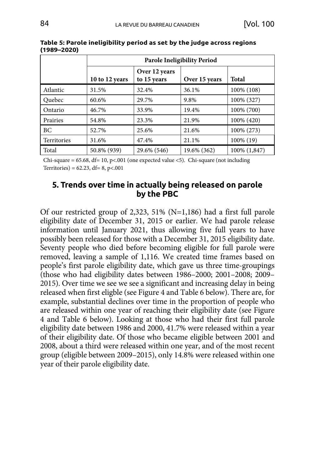|             | <b>Parole Ineligibility Period</b> |                              |               |              |  |  |
|-------------|------------------------------------|------------------------------|---------------|--------------|--|--|
|             | 10 to 12 years                     | Over 12 years<br>to 15 years | Over 15 years | <b>Total</b> |  |  |
| Atlantic    | 31.5%                              | 32.4%                        | 36.1%         | 100% (108)   |  |  |
| Quebec      | 60.6%                              | 29.7%                        | 9.8%          | 100% (327)   |  |  |
| Ontario     | 46.7%                              | 33.9%                        | 19.4%         | 100% (700)   |  |  |
| Prairies    | 54.8%                              | 23.3%                        | 21.9%         | 100% (420)   |  |  |
| BC          | 52.7%                              | 25.6%                        | 21.6%         | 100% (273)   |  |  |
| Territories | 31.6%                              | 47.4%                        | 21.1%         | 100% (19)    |  |  |
| Total       | 50.8% (939)                        | 29.6% (546)                  | 19.6% (362)   | 100% (1,847) |  |  |

<span id="page-18-0"></span>**Table 5: Parole ineligibility period as set by the judge across regions (1989–2020)**

Chi-square =  $65.68$ , df= 10, p<.001 (one expected value <5). Chi-square (not including Territories) =  $62.23$ , df=  $8$ , p<.001

### **5. Trends over time in actually being released on parole by the PBC**

Of our restricted group of 2,323, 51% (N=1,186) had a first full parole eligibility date of December 31, 2015 or earlier. We had parole release information until January 2021, thus allowing five full years to have possibly been released for those with a December 31, 2015 eligibility date. Seventy people who died before becoming eligible for full parole were removed, leaving a sample of 1,116. We created time frames based on people's first parole eligibility date, which gave us three time-groupings (those who had eligibility dates between 1986–2000; 2001–2008; 2009– 2015). Over time we see we see a significant and increasing delay in being released when first eligble (see Figure 4 and Table 6 below). There are, for example, substantial declines over time in the proportion of people who are released within one year of reaching their eligibility date (see Figure 4 and Table 6 below). Looking at those who had their first full parole eligibility date between 1986 and 2000, 41.7% were released within a year of their eligibility date. Of those who became eligible between 2001 and 2008, about a third were released within one year, and of the most recent group (eligible between 2009–2015), only 14.8% were released within one year of their parole eligibility date.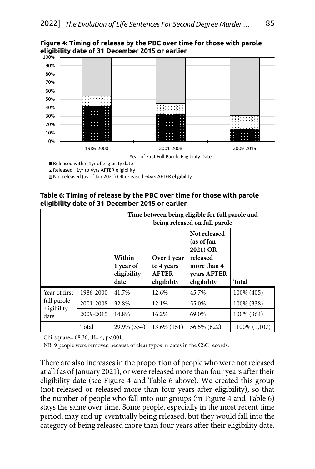

Figure 4: Timing of release by the PBC over time for those with parole eligibility date of 31 December 2015 or earlier

**Table 6: Timing of release by the PBC over time for those with parole eligibility date of 31 December 2015 or earlier**

|                            |           | Time between being eligible for full parole and<br>being released on full parole |                                                          |                                                                                                 |              |  |
|----------------------------|-----------|----------------------------------------------------------------------------------|----------------------------------------------------------|-------------------------------------------------------------------------------------------------|--------------|--|
|                            |           | Within<br>1 year of<br>eligibility<br>date                                       | Over 1 year<br>to 4 years<br><b>AFTER</b><br>eligibility | Not released<br>(as of Jan<br>2021) OR<br>released<br>more than 4<br>years AFTER<br>eligibility | Total        |  |
| Year of first              | 1986-2000 | 41.7%                                                                            | 12.6%                                                    | 45.7%                                                                                           | 100% (405)   |  |
| full parole<br>eligibility | 2001-2008 | 32.8%                                                                            | 12.1%                                                    | 55.0%                                                                                           | 100% (338)   |  |
| date                       | 2009-2015 | 14.8%                                                                            | 16.2%                                                    | 69.0%                                                                                           | 100% (364)   |  |
|                            | Total     | 29.9% (334)                                                                      | 13.6% (151)                                              | 56.5% (622)                                                                                     | 100% (1,107) |  |

Chi-square= 68.36, df= 4, p<.001.

NB: 9 people were removed because of clear typos in dates in the CSC records.

There are also increases in the proportion of people who were not released at all (as of January 2021), or were released more than four years after their eligibility date (see Figure 4 and Table 6 above). We created this group (not released or released more than four years after eligibility), so that the number of people who fall into our groups (in Figure 4 and Table 6) stays the same over time. Some people, especially in the most recent time period, may end up eventually being released, but they would fall into the category of being released more than four years after their eligibility date.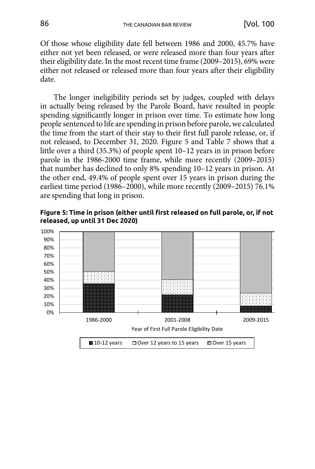Of those whose eligibility date fell between 1986 and 2000, 45.7% have either not yet been released, or were released more than four years after their eligibility date. In the most recent time frame (2009–2015), 69% were either not released or released more than four years after their eligibility date.

The longer ineligibility periods set by judges, coupled with delays in actually being released by the Parole Board, have resulted in people spending significantly longer in prison over time. To estimate how long people sentenced to life are spending in prison before parole, we calculated the time from the start of their stay to their first full parole release, or, if not released, to December 31, 2020. Figure 5 and Table 7 shows that a little over a third (35.3%) of people spent 10–12 years in in prison before parole in the 1986-2000 time frame, while more recently (2009–2015) that number has declined to only 8% spending 10–12 years in prison. At the other end, 49.4% of people spent over 15 years in prison during the earliest time period (1986–2000), while more recently (2009–2015) 76.1% are spending that long in prison.

Figure 5: Time in prison (either until first released on full parole, or, if not released, up until 31 Dec 2020)

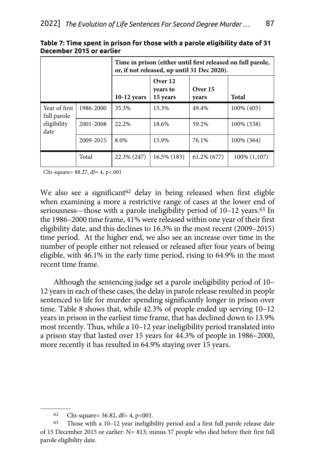|                              |           | Time in prison (either until first released on full parole,<br>or, if not released, up until 31 Dec 2020). |                                 |                  |              |  |
|------------------------------|-----------|------------------------------------------------------------------------------------------------------------|---------------------------------|------------------|--------------|--|
|                              |           | $10-12$ years                                                                                              | Over 12<br>vears to<br>15 years | Over 15<br>years | Total        |  |
| Year of first<br>full parole | 1986-2000 | 35.3%                                                                                                      | 15.3%                           | 49.4%            | 100% (405)   |  |
| eligibility<br>date          | 2001-2008 | 22.2%                                                                                                      | 18.6%                           | 59.2%            | 100% (338)   |  |
|                              | 2009-2015 | 8.0%                                                                                                       | 15.9%                           | 76.1%            | 100% (364)   |  |
|                              | Total     | 22.3% (247)                                                                                                | 16.5% (183)                     | 61.2% (677)      | 100% (1,107) |  |

**Table 7: Time spent in prison for those with a parole eligibility date of 31 December 2015 or earlier**

Chi-square= 88.27, df= 4, p<.001

We also see a significant<sup>62</sup> delay in being released when first eligble when examining a more a restrictive range of cases at the lower end of seriousness—those with a parole ineligibility period of 10–12 years.63 In the 1986–2000 time frame, 41% were released within one year of their first eligibility date, and this declines to 16.3% in the most recent (2009–2015) time period. At the higher end, we also see an increase over time in the number of people either not released or released after four years of being eligible, with 46.1% in the early time period, rising to 64.9% in the most recent time frame.

Although the sentencing judge set a parole ineligibility period of 10– 12 years in each of these cases, the delay in parole release resulted in people sentenced to life for murder spending significantly longer in prison over time. Table 8 shows that, while 42.3% of people ended up serving 10–12 years in prison in the earliest time frame, that has declined down to 13.9% most recently. Thus, while a 10–12 year ineligibility period translated into a prison stay that lasted over 15 years for 44.3% of people in 1986–2000, more recently it has resulted in 64.9% staying over 15 years.

<sup>62</sup> Chi-square=  $36.82$ , df= 4, p<001.

<sup>63</sup> Those with a 10–12 year ineligibility period and a first full parole release date of 15 December 2015 or earlier: N= 813; minus 37 people who died before their first full parole eligibility date.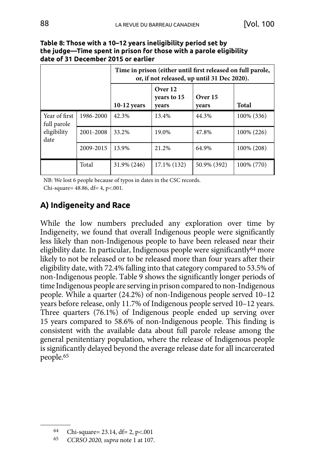|                              |           | Time in prison (either until first released on full parole,<br>or, if not released, up until 31 Dec 2020). |                                 |                  |            |
|------------------------------|-----------|------------------------------------------------------------------------------------------------------------|---------------------------------|------------------|------------|
|                              |           | $10-12$ years                                                                                              | Over 12<br>vears to 15<br>vears | Over 15<br>years | Total      |
| Year of first<br>full parole | 1986-2000 | 42.3%                                                                                                      | 13.4%                           | 44.3%            | 100% (336) |
| eligibility<br>date          | 2001-2008 | 33.2%                                                                                                      | 19.0%                           | 47.8%            | 100% (226) |
|                              | 2009-2015 | 13.9%                                                                                                      | 21.2%                           | 64.9%            | 100% (208) |
|                              | Total     | 31.9% (246)                                                                                                | $17.1\%$ (132)                  | 50.9% (392)      | 100% (770) |

<span id="page-22-0"></span>

| Table 8: Those with a 10–12 years ineligibility period set by      |
|--------------------------------------------------------------------|
| the judge—Time spent in prison for those with a parole eligibility |
| date of 31 December 2015 or earlier                                |

NB: We lost 6 people because of typos in dates in the CSC records.

Chi-square= 48.86, df= 4, p<.001.

# **A) Indigeneity and Race**

While the low numbers precluded any exploration over time by Indigeneity, we found that overall Indigenous people were significantly less likely than non-Indigenous people to have been released near their eligibility date. In particular, Indigenous people were significantly<sup>64</sup> more likely to not be released or to be released more than four years after their eligibility date, with 72.4% falling into that category compared to 53.5% of non-Indigenous people. Table 9 shows the significantly longer periods of time Indigenous people are serving in prison compared to non-Indigenous people. While a quarter (24.2%) of non-Indigenous people served 10–12 years before release, only 11.7% of Indigenous people served 10–12 years. Three quarters (76.1%) of Indigenous people ended up serving over 15 years compared to 58.6% of non-Indigenous people. This finding is consistent with the available data about full parole release among the general penitentiary population, where the release of Indigenous people is significantly delayed beyond the average release date for all incarcerated people.65

<sup>64</sup> Chi-square= 23.14, df= 2, p<.001

<sup>65</sup> *CCRSO 2020, supra* note 1 at 107.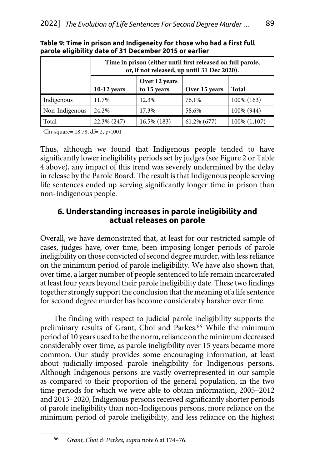|                |               | Time in prison (either until first released on full parole,<br>or, if not released, up until 31 Dec 2020). |                |              |  |  |  |
|----------------|---------------|------------------------------------------------------------------------------------------------------------|----------------|--------------|--|--|--|
|                | $10-12$ years | Over 12 years<br>to 15 years                                                                               | Over 15 years  | <b>Total</b> |  |  |  |
| Indigenous     | 11.7%         | 12.3%                                                                                                      | 76.1%          | 100% (163)   |  |  |  |
| Non-Indigenous | 24.2%         | 17.3%                                                                                                      | 58.6%          | 100% (944)   |  |  |  |
| Total          | 22.3% (247)   | 16.5% (183)                                                                                                | $61.2\%$ (677) | 100% (1,107) |  |  |  |

<span id="page-23-0"></span>**Table 9: Time in prison and Indigeneity for those who had a first full parole eligibility date of 31 December 2015 or earlier**

Chi-square= 18.78, df= 2, p<.001

Thus, although we found that Indigenous people tended to have significantly lower ineligibility periods set by judges (see Figure 2 or Table 4 above), any impact of this trend was severely undermined by the delay in release by the Parole Board. The result is that Indigenous people serving life sentences ended up serving significantly longer time in prison than non-Indigenous people.

### **6. Understanding increases in parole ineligibility and actual releases on parole**

Overall, we have demonstrated that, at least for our restricted sample of cases, judges have, over time, been imposing longer periods of parole ineligibility on those convicted of second degree murder, with less reliance on the minimum period of parole ineligibility. We have also shown that, over time, a larger number of people sentenced to life remain incarcerated at least four years beyond their parole ineligibility date. These two findings together strongly support the conclusion that the meaning of a life sentence for second degree murder has become considerably harsher over time.

The finding with respect to judicial parole ineligibility supports the preliminary results of Grant, Choi and Parkes.<sup>66</sup> While the minimum period of 10 years used to be the norm, reliance on the minimum decreased considerably over time, as parole ineligibility over 15 years became more common. Our study provides some encouraging information, at least about judicially-imposed parole ineligibility for Indigenous persons. Although Indigenous persons are vastly overrepresented in our sample as compared to their proportion of the general population, in the two time periods for which we were able to obtain information, 2005–2012 and 2013–2020, Indigenous persons received significantly shorter periods of parole ineligibility than non-Indigenous persons, more reliance on the minimum period of parole ineligibility, and less reliance on the highest

<sup>66</sup> *Grant, Choi & Parkes, supra* note 6 at 174–76.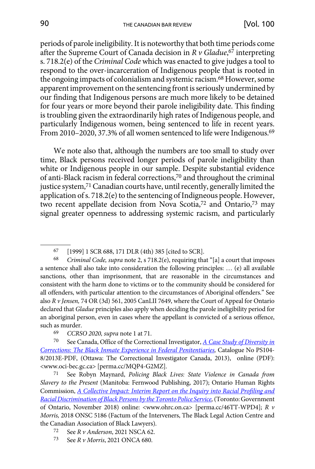periods of parole ineligibility. It is noteworthy that both time periods come after the Supreme Court of Canada decision in *R v Gladue*, 67 interpreting s. 718.2(e) of the *Criminal Code* which was enacted to give judges a tool to respond to the over-incarceration of Indigenous people that is rooted in the ongoing impacts of colonialism and systemic racism.68 However, some apparent improvement on the sentencing front is seriously undermined by our finding that Indigenous persons are much more likely to be detained for four years or more beyond their parole ineligibility date. This finding is troubling given the extraordinarily high rates of Indigenous people, and particularly Indigenous women, being sentenced to life in recent years. From 2010–2020, 37.3% of all women sentenced to life were Indigenous.<sup>69</sup>

We note also that, although the numbers are too small to study over time, Black persons received longer periods of parole ineligibility than white or Indigenous people in our sample. Despite substantial evidence of anti-Black racism in federal corrections,70 and throughout the criminal justice system,<sup>71</sup> Canadian courts have, until recently, generally limited the application of s. 718.2(e) to the sentencing of Indigneous people. However, two recent appellate decision from Nova Scotia,72 and Ontario,73 may signal greater openness to addressing systemic racism, and particularly

67 [1999] 1 SCR 688, 171 DLR (4th) 385 [cited to SCR].

68 *Criminal Code, supra* note 2, s 718.2(e), requiring that "[a] a court that imposes a sentence shall also take into consideration the following principles: … (e) all available sanctions, other than imprisonment, that are reasonable in the circumstances and consistent with the harm done to victims or to the community should be considered for all offenders, with particular attention to the circumstances of Aboriginal offenders." See also *R v Jensen,* 74 OR (3d) 561, 2005 CanLII 7649, where the Court of Appeal for Ontario declared that *Gladue* principles also apply when deciding the parole ineligibility period for an aboriginal person, even in cases where the appellant is convicted of a serious offence, such as murder.

70 See Canada, Office of the Correctional Investigator, *[A Case Study of Diversity in](https://perma.cc/MQP4-G2MZ) [Corrections: The Black Inmate Experience in Federal Penitentiaries](https://perma.cc/MQP4-G2MZ),* Catalogue No PS104- 8/2013E-PDF, (Ottawa: The Correctional Investigator Canada, 2013), online (PDF): <www.oci-bec.gc.ca> [perma.cc/MQP4-G2MZ].

71 See Robyn Maynard, *[Policing Black Lives: State Violence in Canada from](https://perma.cc/46TT-WPD4) [Slavery to the Present](https://perma.cc/46TT-WPD4)* (Manitoba: Fernwood Publishing, 2017); Ontario Human Rights Commission, *[A Collective Impact: Interim Report on the Inquiry into Racial Profiling and](https://perma.cc/46TT-WPD4) [Racial Discrimination of Black Persons by the Toronto Police Service](https://perma.cc/46TT-WPD4),* (Toronto: Government of Ontario, November 2018) online: <www.ohrc.on.ca> [perma.cc/46TT-WPD4]; *R v Morris,* 2018 ONSC 5186 (Factum of the Interveners, The Black Legal Action Centre and the Canadian Association of Black Lawyers).

- 72 See *R v Anderson*, 2021 NSCA 62.
- 73 See *R v Morris*, 2021 ONCA 680.

<sup>69</sup> *CCRSO 2020, supra* note 1 at 71.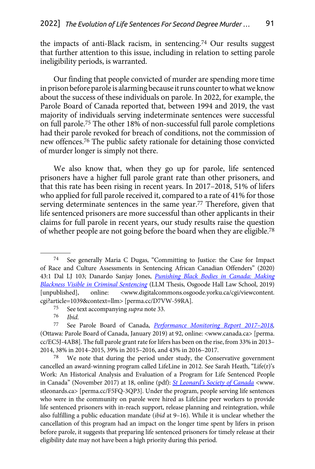the impacts of anti-Black racism, in sentencing.74 Our results suggest that further attention to this issue, including in relation to setting parole ineligibility periods, is warranted.

Our finding that people convicted of murder are spending more time in prison before parole is alarming because it runs counter to what we know about the success of these individuals on parole. In 2022, for example, the Parole Board of Canada reported that, between 1994 and 2019, the vast majority of individuals serving indeterminate sentences were successful on full parole.75 The other 18% of non-successful full parole completions had their parole revoked for breach of conditions, not the commission of new offences.76 The public safety rationale for detaining those convicted of murder longer is simply not there.

We also know that, when they go up for parole, life sentenced prisoners have a higher full parole grant rate than other prisoners, and that this rate has been rising in recent years. In 2017–2018, 51% of lifers who applied for full parole received it, compared to a rate of 41% for those serving determinate sentences in the same year.77 Therefore, given that life sentenced prisoners are more successful than other applicants in their claims for full parole in recent years, our study results raise the question of whether people are not going before the board when they are eligible.78

<sup>74</sup> See generally Maria C Dugas, "Committing to Justice: the Case for Impact of Race and Culture Assessments in Sentencing African Canadian Offenders" (2020) 43:1 Dal LJ 103; Danardo Sanjay Jones, *[Punishing Black Bodies in Canada: Making](https://perma.cc/D7VW-59RA)  [Blackness Visible in Criminal Sentencing](https://perma.cc/D7VW-59RA)* (LLM Thesis, Osgoode Hall Law School, 2019) [unpublished], online: <www.digitalcommons.osgoode.yorku.ca/cgi/viewcontent. cgi?article=1039&context=llm> [perma.cc/D7VW-59RA].

<sup>75</sup> See text accompanying *supra* note 33.

<sup>76</sup> *Ibid.*

<sup>77</sup> See Parole Board of Canada, *[Performance Monitoring Report 2017–2018,](https://perma.cc/EC5J-4AB8)*  (Ottawa: Parole Board of Canada, January 2019) at 92, online: <www.canada.ca> [perma. cc/EC5J-4AB8]. The full parole grant rate for lifers has been on the rise, from 33% in 2013– 2014, 38% in 2014–2015, 39% in 2015–2016, and 43% in 2016–2017.

 $78$  We note that during the period under study, the Conservative government cancelled an award-winning program called LifeLine in 2012. See Sarah Heath, "Life(r)'s Work: An Historical Analysis and Evaluation of a Program for Life Sentenced People in Canada" (November 2017) at 18, online (pdf): *[St Leonard's Society of Canada](https://perma.cc/F5FQ-3QP3)* <www. stleonards.ca> [perma.cc/F5FQ-3QP3]. Under the program, people serving life sentences who were in the community on parole were hired as LifeLine peer workers to provide life sentenced prisoners with in-reach support, release planning and reintegration, while also fulfilling a public education mandate (*ibid* at 9–16). While it is unclear whether the cancellation of this program had an impact on the longer time spent by lifers in prison before parole, it suggests that preparing life sentenced prisoners for timely release at their eligibility date may not have been a high priority during this period.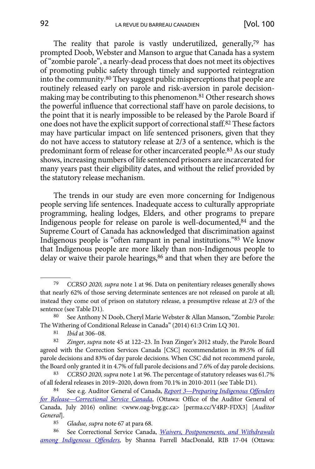The reality that parole is vastly underutilized, generally,<sup>79</sup> has prompted Doob, Webster and Manson to argue that Canada has a system of "zombie parole", a nearly-dead process that does not meet its objectives of promoting public safety through timely and supported reintegration into the community.80 They suggest public misperceptions that people are routinely released early on parole and risk-aversion in parole decisionmaking may be contributing to this phenomenon.81 Other research shows the powerful influence that correctional staff have on parole decisions, to the point that it is nearly impossible to be released by the Parole Board if one does not have the explicit support of correctional staff.82 These factors may have particular impact on life sentenced prisoners, given that they do not have access to statutory release at 2/3 of a sentence, which is the predominant form of release for other incarcerated people.83 As our study shows, increasing numbers of life sentenced prisoners are incarcerated for many years past their eligibility dates, and without the relief provided by the statutory release mechanism.

The trends in our study are even more concerning for Indigenous people serving life sentences. Inadequate access to culturally appropriate programming, healing lodges, Elders, and other programs to prepare Indigenous people for release on parole is well-documented,84 and the Supreme Court of Canada has acknowledged that discrimination against Indigenous people is "often rampant in penal institutions."85 We know that Indigenous people are more likely than non-Indigenous people to delay or waive their parole hearings,<sup>86</sup> and that when they are before the

<sup>79</sup> *CCRSO 2020, supra* note 1 at 96. Data on penitentiary releases generally shows that nearly 62% of those serving determinate sentences are not released on parole at all; instead they come out of prison on statutory release, a presumptive release at 2/3 of the sentence (see Table D1).

<sup>80</sup> See Anthony N Doob, Cheryl Marie Webster & Allan Manson, "Zombie Parole: The Withering of Conditional Release in Canada" (2014) 61:3 Crim LQ 301.

<sup>81</sup> *Ibid* at 306–08.

<sup>82</sup> *Zinger*, *supra* note 45 at 122–23. In Ivan Zinger's 2012 study, the Parole Board agreed with the Correction Services Canada [CSC] recommendation in 89.5% of full parole decisions and 83% of day parole decisions. When CSC did not recommend parole, the Board only granted it in 4.7% of full parole decisions and 7.6% of day parole decisions.

<sup>83</sup> *CCRSO 2020, supra* note 1 at 96. The percentage of statutory releases was 61.7% of all federal releases in 2019–2020, down from 70.1% in 2010-2011 (see Table D1).

<sup>84</sup> See e.g. Auditor General of Canada, *[Report 3—Preparing Indigenous Offenders](https://perma.cc/V4RP-FDX3) [for Release—Correctional Service Canada](https://perma.cc/V4RP-FDX3)*, (Ottawa: Office of the Auditor General of Canada, July 2016) online: <www.oag-bvg.gc.ca> [perma.cc/V4RP-FDX3] [*Auditor General*].

<sup>85</sup> *Gladue, supra* note 67 at para 68.

<sup>86</sup> See Correctional Service Canada, *[Waivers, Postponements, and Withdrawals](https://perma.cc/ZQ5C-PUTW) [among Indigenous Offenders,](https://perma.cc/ZQ5C-PUTW)* by Shanna Farrell MacDonald, RIB 17-04 (Ottawa: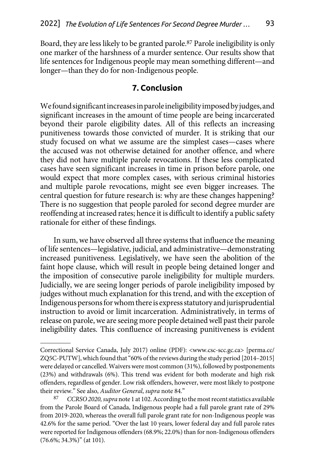<span id="page-27-0"></span>Board, they are less likely to be granted parole.87 Parole ineligibility is only one marker of the harshness of a murder sentence. Our results show that life sentences for Indigenous people may mean something different—and longer—than they do for non-Indigenous people.

### **7. Conclusion**

We found significant increases in parole ineligibility imposed by judges, and significant increases in the amount of time people are being incarcerated beyond their parole eligibility dates. All of this reflects an increasing punitiveness towards those convicted of murder. It is striking that our study focused on what we assume are the simplest cases—cases where the accused was not otherwise detained for another offence, and where they did not have multiple parole revocations. If these less complicated cases have seen significant increases in time in prison before parole, one would expect that more complex cases, with serious criminal histories and multiple parole revocations, might see even bigger increases. The central question for future research is: why are these changes happening? There is no suggestion that people paroled for second degree murder are reoffending at increased rates; hence it is difficult to identify a public safety rationale for either of these findings.

In sum, we have observed all three systems that influence the meaning of life sentences—legislative, judicial, and administrative—demonstrating increased punitiveness. Legislatively, we have seen the abolition of the faint hope clause, which will result in people being detained longer and the imposition of consecutive parole ineligibility for multiple murders. Judicially, we are seeing longer periods of parole ineligibility imposed by judges without much explanation for this trend, and with the exception of Indigenous persons for whom there is express statutory and jurisprudential instruction to avoid or limit incarceration. Administratively, in terms of release on parole, we are seeing more people detained well past their parole ineligibility dates. This confluence of increasing punitiveness is evident

Correctional Service Canada, July 2017) online (PDF): <www.csc-scc.gc.ca> [perma.cc/ ZQ5C-PUTW], which found that "60% of the reviews during the study period [2014–2015] were delayed or cancelled. Waivers were most common (31%), followed by postponements (23%) and withdrawals (6%). This trend was evident for both moderate and high risk offenders, regardless of gender. Low risk offenders, however, were most likely to postpone their review." See also, *Auditor General*, *supra* note 84."

<sup>87</sup> *CCRSO 2020, supra* note 1 at 102. According to the most recent statistics available from the Parole Board of Canada, Indigenous people had a full parole grant rate of 29% from 2019-2020, whereas the overall full parole grant rate for non-Indigenous people was 42.6% for the same period. "Over the last 10 years, lower federal day and full parole rates were reported for Indigenous offenders (68.9%; 22.0%) than for non-Indigenous offenders (76.6%; 34.3%)" (at 101).